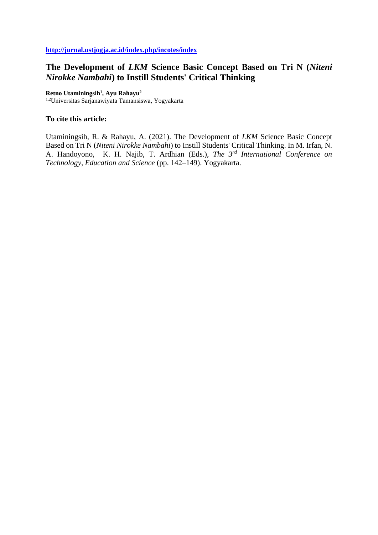# **The Development of** *LKM* **Science Basic Concept Based on Tri N (***Niteni Nirokke Nambahi***) to Instill Students' Critical Thinking**

**Retno Utaminingsih<sup>1</sup> , Ayu Rahayu<sup>2</sup>**

1,2Universitas Sarjanawiyata Tamansiswa, Yogyakarta

### **To cite this article:**

Utaminingsih, R. & Rahayu, A. (2021). The Development of *LKM* Science Basic Concept Based on Tri N (*Niteni Nirokke Nambahi*) to Instill Students' Critical Thinking. In M. Irfan, N. A. Handoyono, K. H. Najib, T. Ardhian (Eds.), *The 3rd International Conference on Technology, Education and Science* (pp. 142–149). Yogyakarta.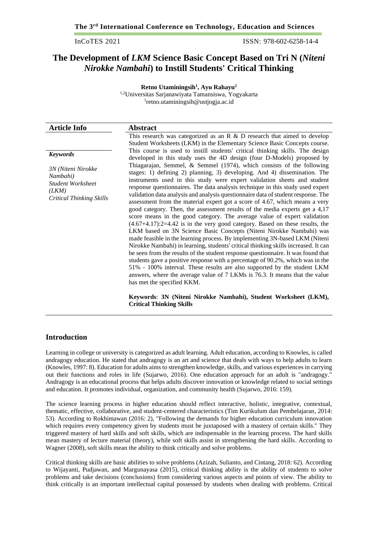InCoTES 2021 ISSN: 978-602-6258-14-4

## **The Development of** *LKM* **Science Basic Concept Based on Tri N (***Niteni Nirokke Nambahi***) to Instill Students' Critical Thinking**

**Retno Utaminingsih<sup>1</sup> , Ayu Rahayu<sup>2</sup>** 1,2Universitas Sarjanawiyata Tamansiswa, Yogyakarta 1 retno.utaminingsih@ustjogja.ac.id

| <b>Article Info</b>                                                                                                       | <b>Abstract</b>                                                                                                                                                                                                                                                                                                                                                                                                                                                                                                                                                                                                                                                                                                                                                                                                                                                                                                                                                                                                                                                                                                                          |
|---------------------------------------------------------------------------------------------------------------------------|------------------------------------------------------------------------------------------------------------------------------------------------------------------------------------------------------------------------------------------------------------------------------------------------------------------------------------------------------------------------------------------------------------------------------------------------------------------------------------------------------------------------------------------------------------------------------------------------------------------------------------------------------------------------------------------------------------------------------------------------------------------------------------------------------------------------------------------------------------------------------------------------------------------------------------------------------------------------------------------------------------------------------------------------------------------------------------------------------------------------------------------|
|                                                                                                                           | This research was categorized as an $R \& D$ research that aimed to develop<br>Student Worksheets (LKM) in the Elementary Science Basic Concepts course.                                                                                                                                                                                                                                                                                                                                                                                                                                                                                                                                                                                                                                                                                                                                                                                                                                                                                                                                                                                 |
| <b>Keywords</b><br>3N (Niteni Nirokke<br>Nambahi)<br><b>Student Worksheet</b><br>(LKM)<br><b>Critical Thinking Skills</b> | This course is used to instill students' critical thinking skills. The design<br>developed in this study uses the 4D design (four D-Models) proposed by<br>Thiagarajan, Semmel, & Semmel (1974), which consists of the following<br>stages: 1) defining 2) planning, 3) developing. And 4) dissemination. The<br>instruments used in this study were expert validation sheets and student<br>response questionnaires. The data analysis technique in this study used expert<br>validation data analysis and analysis questionnaire data of student response. The<br>assessment from the material expert got a score of 4.67, which means a very<br>good category. Then, the assessment results of the media experts get a 4,17<br>score means in the good category. The average value of expert validation<br>$(4.67+4.17):2=4.42$ is in the very good category. Based on these results, the<br>LKM based on 3N Science Basic Concepts (Niteni Nirokke Nambahi) was<br>made feasible in the learning process. By implementing 3N-based LKM (Niteni<br>Nirokke Nambahi) in learning, students' critical thinking skills increased. It can |
|                                                                                                                           | be seen from the results of the student response questionnaire. It was found that<br>students gave a positive response with a percentage of 90.2%, which was in the<br>51% - 100% interval. These results are also supported by the student LKM<br>answers, where the average value of 7 LKMs is 76.3. It means that the value<br>has met the specified KKM.<br>Keywords: 3N (Niteni Nirokke Nambahi), Student Worksheet (LKM),<br><b>Critical Thinking Skills</b>                                                                                                                                                                                                                                                                                                                                                                                                                                                                                                                                                                                                                                                                       |

### **Introduction**

Learning in college or university is categorized as adult learning. Adult education, according to Knowles, is called andragogy education. He stated that andragogy is an art and science that deals with ways to help adults to learn (Knowles, 1997: 8). Education for adults aims to strengthen knowledge, skills, and various experiences in carrying out their functions and roles in life (Sujarwo, 2016). One education approach for an adult is "andragogy." Andragogy is an educational process that helps adults discover innovation or knowledge related to social settings and education. It promotes individual, organization, and community health (Sujarwo, 2016: 159).

The science learning process in higher education should reflect interactive, holistic, integrative, contextual, thematic, effective, collaborative, and student-centered characteristics (Tim Kurikulum dan Pembelajaran, 2014: 53). According to Rokhimawan (2016: 2), "Following the demands for higher education curriculum innovation which requires every competency given by students must be juxtaposed with a mastery of certain skills." They triggered mastery of hard skills and soft skills, which are indispensable in the learning process. The hard skills mean mastery of lecture material (theory), while soft skills assist in strengthening the hard skills. According to Wagner (2008), soft skills mean the ability to think critically and solve problems.

Critical thinking skills are basic abilities to solve problems (Azizah, Sulianto, and Cintang, 2018: 62). According to Wijayanti, Pudjawan, and Margunayasa (2015), critical thinking ability is the ability of students to solve problems and take decisions (conclusions) from considering various aspects and points of view. The ability to think critically is an important intellectual capital possessed by students when dealing with problems. Critical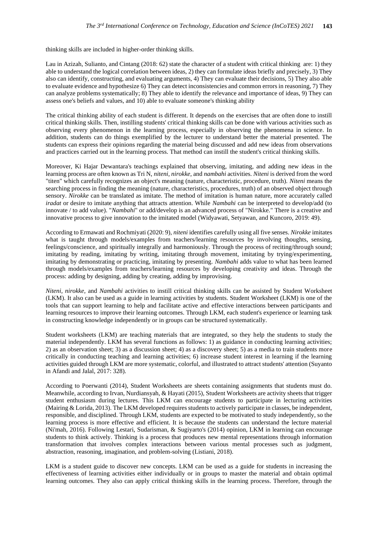thinking skills are included in higher-order thinking skills.

Lau in Azizah, Sulianto, and Cintang (2018: 62) state the character of a student with critical thinking are: 1) they able to understand the logical correlation between ideas, 2) they can formulate ideas briefly and precisely, 3) They also can identify, constructing, and evaluating arguments, 4) They can evaluate their decisions, 5) They also able to evaluate evidence and hypothesize 6) They can detect inconsistencies and common errors in reasoning, 7) They can analyze problems systematically; 8) They able to identify the relevance and importance of ideas, 9) They can assess one's beliefs and values, and 10) able to evaluate someone's thinking ability

The critical thinking ability of each student is different. It depends on the exercises that are often done to instill critical thinking skills. Then, instilling students' critical thinking skills can be done with various activities such as observing every phenomenon in the learning process, especially in observing the phenomena in science. In addition, students can do things exemplified by the lecturer to understand better the material presented. The students can express their opinions regarding the material being discussed and add new ideas from observations and practices carried out in the learning process. That method can instill the student's critical thinking skills.

Moreover, Ki Hajar Dewantara's teachings explained that observing, imitating, and adding new ideas in the learning process are often known as Tri N, *niteni, nirokke,* and *nambahi* activities. *Niteni* is derived from the word "titen" which carefully recognizes an object's meaning (nature, characteristic, procedure, truth). *Niteni* means the searching process in finding the meaning (nature, characteristics, procedures, truth) of an observed object through sensory. *Nirokke* can be translated as imitate. The method of imitation is human nature, more accurately called *iradat* or desire to imitate anything that attracts attention. While *Nambahi* can be interpreted to develop/add (to innovate / to add value). "*Nambahi*" or add/develop is an advanced process of "Nirokke." There is a creative and innovative process to give innovation to the imitated model (Widyawati, Setyawan, and Kuncoro, 2019: 49).

According to Ermawati and Rochmiyati (2020: 9), *niteni* identifies carefully using all five senses. *Nirokke* imitates what is taught through models/examples from teachers/learning resources by involving thoughts, sensing, feelings/conscience, and spiritually integrally and harmoniously. Through the process of reciting/through sound; imitating by reading, imitating by writing, imitating through movement, imitating by trying/experimenting, imitating by demonstrating or practicing, imitating by presenting. *Nambahi* adds value to what has been learned through models/examples from teachers/learning resources by developing creativity and ideas. Through the process: adding by designing, adding by creating, adding by improvising.

*Niteni, nirokke,* and *Nambahi* activities to instill critical thinking skills can be assisted by Student Worksheet (LKM). It also can be used as a guide in learning activities by students. Student Worksheet (LKM) is one of the tools that can support learning to help and facilitate active and effective interactions between participants and learning resources to improve their learning outcomes. Through LKM, each student's experience or learning task in constructing knowledge independently or in groups can be structured systematically.

Student worksheets (LKM) are teaching materials that are integrated, so they help the students to study the material independently. LKM has several functions as follows: 1) as guidance in conducting learning activities; 2) as an observation sheet; 3) as a discussion sheet; 4) as a discovery sheet; 5) as a media to train students more critically in conducting teaching and learning activities; 6) increase student interest in learning if the learning activities guided through LKM are more systematic, colorful, and illustrated to attract students' attention (Suyanto in Afandi and Jalal, 2017: 328).

According to Poerwanti (2014), Student Worksheets are sheets containing assignments that students must do. Meanwhile, according to Irvan, Nurdiansyah, & Hayati (2015), Student Worksheets are activity sheets that trigger student enthusiasm during lectures. This LKM can encourage students to participate in lecturing activities (Mairing & Lorida, 2013). The LKM developed requires students to actively participate in classes, be independent, responsible, and disciplined. Through LKM, students are expected to be motivated to study independently, so the learning process is more effective and efficient. It is because the students can understand the lecture material (Ni'mah, 2016). Following Lestari, Sudarisman, & Sugiyarto's (2014) opinion, LKM in learning can encourage students to think actively. Thinking is a process that produces new mental representations through information transformation that involves complex interactions between various mental processes such as judgment, abstraction, reasoning, imagination, and problem-solving (Listiani, 2018).

LKM is a student guide to discover new concepts. LKM can be used as a guide for students in increasing the effectiveness of learning activities either individually or in groups to master the material and obtain optimal learning outcomes. They also can apply critical thinking skills in the learning process. Therefore, through the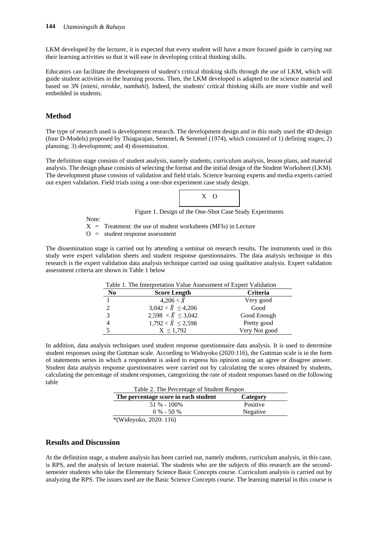LKM developed by the lecturer, it is expected that every student will have a more focused guide in carrying out their learning activities so that it will ease in developing critical thinking skills.

Educators can facilitate the development of student's critical thinking skills through the use of LKM, which will guide student activities in the learning process. Then, the LKM developed is adapted to the science material and based on 3N (*niteni, nirokke, nambahi*). Indeed, the students' critical thinking skills are more visible and well embedded in students.

### **Method**

The type of research used is development research. The development design and in this study used the 4D design (four D-Models) proposed by Thiagarajan, Semmel, & Semmel (1974), which consisted of 1) defining stages; 2) planning; 3) development; and 4) dissemination.

The definition stage consists of student analysis, namely students, curriculum analysis, lesson plans, and material analysis. The design phase consists of selecting the format and the initial design of the Student Worksheet (LKM). The development phase consists of validation and field trials. Science learning experts and media experts carried out expert validation. Field trials using a one-shot experiment case study design.



Figure 1. Design of the One-Shot Case Study Experiments

Note:

 $X =$  Treatment: the use of student worksheets (MFIs) in Lecture

 $O =$  student response assessment

The dissemination stage is carried out by attending a seminar on research results. The instruments used in this study were expert validation sheets and student response questionnaires. The data analysis technique in this research is the expert validation data analysis technique carried out using qualitative analysis. Expert validation assessment criteria are shown in Table 1 below

| N <sub>0</sub> | Table 1. The interpretation value Assessment of Expert vanuation<br><b>Score Length</b> | <b>Criteria</b> |
|----------------|-----------------------------------------------------------------------------------------|-----------------|
|                | $4.206 < \bar{X}$                                                                       | Very good       |
|                | $3,042 < \overline{X} \leq 4,206$                                                       | Good            |
|                | $2,598 < \bar{X} \leq 3,042$                                                            | Good Enough     |
|                | $1,792 < \bar{X} \le 2,598$                                                             | Pretty good     |
|                | $X \le 1,792$                                                                           | Very Not good   |

Table 1. The Interpretation Value Assessment of Expert Validation

In addition, data analysis techniques used student response questionnaire data analysis. It is used to determine student responses using the Guttman scale. According to Widoyoko (2020:116), the Guttman scale is in the form of statements series in which a respondent is asked to express his opinion using an agree or disagree answer. Student data analysis response questionnaires were carried out by calculating the scores obtained by students, calculating the percentage of student responses, categorizing the rate of student responses based on the following table

| Table 2. The Percentage of Student Respon |          |  |
|-------------------------------------------|----------|--|
| The percentage score in each student      | Category |  |
| $51\% - 100\%$                            | Positive |  |
| $0\% - 50\%$                              | Negative |  |
| *(Widoyoko, 2020: 116)                    |          |  |

### **Results and Discussion**

At the definition stage, a student analysis has been carried out, namely students, curriculum analysis, in this case, is RPS, and the analysis of lecture material. The students who are the subjects of this research are the secondsemester students who take the Elementary Science Basic Concepts course. Curriculum analysis is carried out by analyzing the RPS. The issues used are the Basic Science Concepts course. The learning material in this course is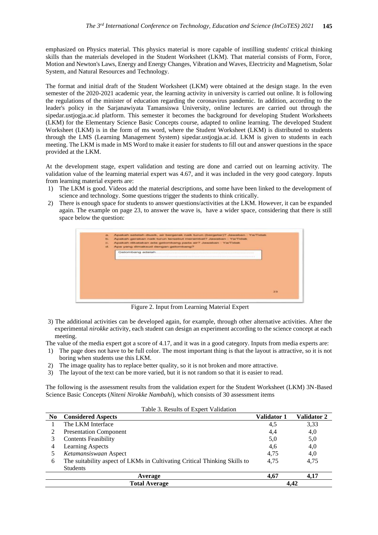emphasized on Physics material. This physics material is more capable of instilling students' critical thinking skills than the materials developed in the Student Worksheet (LKM). That material consists of Form, Force, Motion and Newton's Laws, Energy and Energy Changes, Vibration and Waves, Electricity and Magnetism, Solar System, and Natural Resources and Technology.

The format and initial draft of the Student Worksheet (LKM) were obtained at the design stage. In the even semester of the 2020-2021 academic year, the learning activity in university is carried out online. It is following the regulations of the minister of education regarding the coronavirus pandemic. In addition, according to the leader's policy in the Sarjanawiyata Tamansiswa University, online lectures are carried out through the sipedar.ustjogja.ac.id platform. This semester it becomes the background for developing Student Worksheets (LKM) for the Elementary Science Basic Concepts course, adapted to online learning. The developed Student Worksheet (LKM) is in the form of ms word, where the Student Worksheet (LKM) is distributed to students through the LMS (Learning Management System) sipedar.ustjogja.ac.id. LKM is given to students in each meeting. The LKM is made in MS Word to make it easier for students to fill out and answer questions in the space provided at the LKM.

At the development stage, expert validation and testing are done and carried out on learning activity. The validation value of the learning material expert was 4.67, and it was included in the very good category. Inputs from learning material experts are:

- 1) The LKM is good. Videos add the material descriptions, and some have been linked to the development of science and technology. Some questions trigger the students to think critically.
- 2) There is enough space for students to answer questions/activities at the LKM. However, it can be expanded again. The example on page 23, to answer the wave is, have a wider space, considering that there is still space below the question:



Figure 2. Input from Learning Material Expert

3) The additional activities can be developed again, for example, through other alternative activities. After the experimental *nirokke* activity, each student can design an experiment according to the science concept at each meeting.

The value of the media expert got a score of 4.17, and it was in a good category. Inputs from media experts are:

- 1) The page does not have to be full color. The most important thing is that the layout is attractive, so it is not boring when students use this LKM.
- 2) The image quality has to replace better quality, so it is not broken and more attractive.
- 3) The layout of the text can be more varied, but it is not random so that it is easier to read.

The following is the assessment results from the validation expert for the Student Worksheet (LKM) 3N-Based Science Basic Concepts (*Niteni Nirokke Nambahi*), which consists of 30 assessment items

| N <sub>0</sub>       | <b>Considered Aspects</b>                                                 | <b>Validator 1</b> | <b>Validator 2</b> |
|----------------------|---------------------------------------------------------------------------|--------------------|--------------------|
|                      | The LKM Interface                                                         | 4,5                | 3,33               |
|                      | <b>Presentation Component</b>                                             | 4,4                | 4,0                |
|                      | <b>Contents Feasibility</b>                                               | 5,0                | 5,0                |
| 4                    | Learning Aspects                                                          | 4,6                | 4,0                |
|                      | Ketamansiswaan Aspect                                                     | 4,75               | 4,0                |
| 6                    | The suitability aspect of LKMs in Cultivating Critical Thinking Skills to | 4.75               | 4,75               |
|                      | <b>Students</b>                                                           |                    |                    |
| Average              |                                                                           | 4.67               | 4.17               |
| <b>Total Average</b> |                                                                           |                    | 4.42               |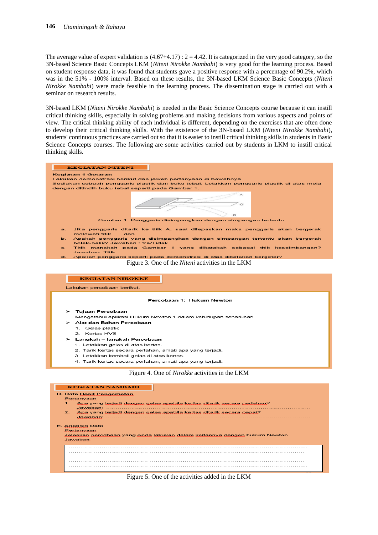### **146** *Utaminingsih & Rahayu*

The average value of expert validation is  $(4.67+4.17)$ :  $2 = 4.42$ . It is categorized in the very good category, so the 3N-based Science Basic Concepts LKM (*Niteni Nirokke Nambahi*) is very good for the learning process. Based on student response data, it was found that students gave a positive response with a percentage of 90.2%, which was in the 51% - 100% interval. Based on these results, the 3N-based LKM Science Basic Concepts (*Niteni Nirokke Nambahi*) were made feasible in the learning process. The dissemination stage is carried out with a seminar on research results.

3N-based LKM (*Niteni Nirokke Nambahi*) is needed in the Basic Science Concepts course because it can instill critical thinking skills, especially in solving problems and making decisions from various aspects and points of view. The critical thinking ability of each individual is different, depending on the exercises that are often done to develop their critical thinking skills. With the existence of the 3N-based LKM (*Niteni Nirokke Nambahi*), students' continuous practices are carried out so that it is easier to instill critical thinking skills in students in Basic Science Concepts courses. The following are some activities carried out by students in LKM to instill critical thinking skills.



#### Percobaan 1: Hukum Newton

- **Tuiuan Percobaan**
- Mengetahui aplikasi Hukum Newton 1 dalam kehidupan sehari-hari
- Alat dan Bahan Percobaan
- Gelas plastic 1.
- 2. Kertas HVS
- Langkah langkah Percobaan
	- 1. Letakkan gelas di atas kertas.
	- 2. Tarik kertas secara perlahan, amati apa yang terjadi.
	- 3. Letakkan kembali gelas di atas kertas
	- 4. Tarik kertas secara perlahan, amati apa yang terjadi.

#### Figure 4. One of *Nirokke* activities in the LKM

| <b>KEGIATAN NAMBAHI</b>                                                                            |
|----------------------------------------------------------------------------------------------------|
| D. Data Hasil Pengamatan                                                                           |
| Pertanyaan                                                                                         |
| Apa yang terjadi dengan gelas apabila kertas ditarik secara perlahan?<br>$1 -$<br>Jawaban:         |
| 2.<br>Apa yang terjadi dengan gelas apabila kertas ditarik secara cepat?<br>Jawaban:               |
| <b>E. Analisis Data</b>                                                                            |
| Pertanyaan<br>Jelaskan percobaan yang Anda lakukan dalam kaitannya dengan hukum Newton.<br>Jawaban |
|                                                                                                    |
|                                                                                                    |
|                                                                                                    |
|                                                                                                    |
|                                                                                                    |
|                                                                                                    |

#### Figure 5. One of the activities added in the LKM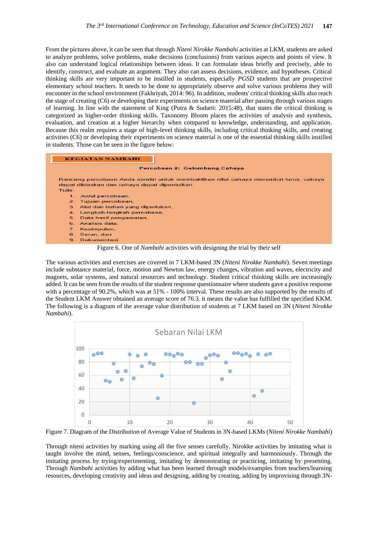From the pictures above, it can be seen that through *Niteni Nirokke Nambahi* activities at LKM, students are asked to analyze problems, solve problems, make decisions (conclusions) from various aspects and points of view. It also can understand logical relationships between ideas. It can formulate ideas briefly and precisely, able to identify, construct, and evaluate an argument. They also can assess decisions, evidence, and hypotheses. Critical thinking skills are very important to be instilled in students, especially *PGSD* students that are prospective elementary school teachers. It needs to be done to appropriately observe and solve various problems they will encounter in the school environment (Fakhriyah, 2014: 96). In addition, students' critical thinking skills also reach the stage of creating (C6) or developing their experiments on science material after passing through various stages of learning. In line with the statement of King (Putra & Sudarti: 2015:48), that states the critical thinking is categorized as higher-order thinking skills. Taxonomy Bloom places the activities of analysis and synthesis, evaluation, and creation at a higher hierarchy when compared to knowledge, understanding, and application. Because this realm requires a stage of high-level thinking skills, including critical thinking skills, and creating activities (C6) or developing their experiments on science material is one of the essential thinking skills instilled in students. Those can be seen in the figure below:



Figure 6. One of *Nambahi* activities with designing the trial by their self

The various activities and exercises are covered in 7 LKM-based 3N (*Niteni Nirokke Nambahi*). Seven meetings include substance material, force, motion and Newton law, energy changes, vibration and waves, electricity and magnets, solar systems, and natural resources and technology. Student critical thinking skills are increasingly added. It can be seen from the results of the student response questionnaire where students gave a positive response with a percentage of 90.2%, which was at 51% - 100% interval. These results are also supported by the results of the Student LKM Answer obtained an average score of 76.3. it means the value has fulfilled the specified KKM. The following is a diagram of the average value distribution of students at 7 LKM based on 3N (*Niteni Nirokke Nambahi*).



Figure 7. Diagram of the Distribution of Average Value of Students in 3N-based LKMs (*Niteni Nirokke Nambahi*)

Through niteni activities by marking using all the five senses carefully. Nirokke activities by imitating what is taught involve the mind, senses, feelings/conscience, and spiritual integrally and harmoniously. Through the imitating process by trying/experimenting, imitating by demonstrating or practicing, imitating by presenting. Through *Nambahi* activities by adding what has been learned through models/examples from teachers/learning resources, developing creativity and ideas and designing, adding by creating, adding by improvising through 3N-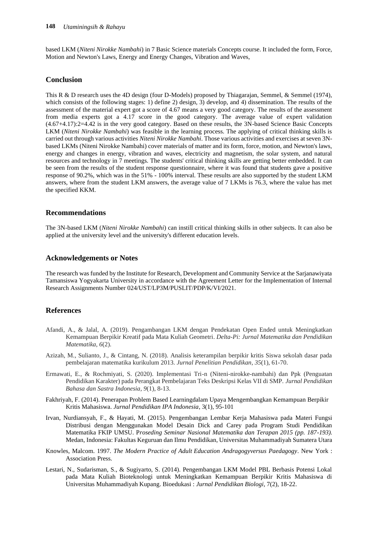based LKM (*Niteni Nirokke Nambahi*) in 7 Basic Science materials Concepts course. It included the form, Force, Motion and Newton's Laws, Energy and Energy Changes, Vibration and Waves,

### **Conclusion**

This R & D research uses the 4D design (four D-Models) proposed by Thiagarajan, Semmel, & Semmel (1974), which consists of the following stages: 1) define 2) design, 3) develop, and 4) dissemination. The results of the assessment of the material expert got a score of 4.67 means a very good category. The results of the assessment from media experts got a 4.17 score in the good category. The average value of expert validation (4.67+4.17):2=4.42 is in the very good category. Based on these results, the 3N-based Science Basic Concepts LKM (*Niteni Nirokke Nambahi*) was feasible in the learning process. The applying of critical thinking skills is carried out through various activities *Niteni Nirokke Nambahi*. Those various activities and exercises at seven 3Nbased LKMs (Niteni Nirokke Nambahi) cover materials of matter and its form, force, motion, and Newton's laws, energy and changes in energy, vibration and waves, electricity and magnetism, the solar system, and natural resources and technology in 7 meetings. The students' critical thinking skills are getting better embedded. It can be seen from the results of the student response questionnaire, where it was found that students gave a positive response of 90.2%, which was in the 51% - 100% interval. These results are also supported by the student LKM answers, where from the student LKM answers, the average value of 7 LKMs is 76.3, where the value has met the specified KKM.

### **Recommendations**

The 3N-based LKM (*Niteni Nirokke Nambahi*) can instill critical thinking skills in other subjects. It can also be applied at the university level and the university's different education levels.

### **Acknowledgements or Notes**

The research was funded by the Institute for Research, Development and Community Service at the Sarjanawiyata Tamansiswa Yogyakarta University in accordance with the Agreement Letter for the Implementation of Internal Research Assignments Number 024/UST/LP3M/PUSLIT/PDP/K/VI/2021.

### **References**

- Afandi, A., & Jalal, A. (2019). Pengambangan LKM dengan Pendekatan Open Ended untuk Meningkatkan Kemampuan Berpikir Kreatif pada Mata Kuliah Geometri. *Delta-Pi: Jurnal Matematika dan Pendidikan Matematika*, *6*(2).
- Azizah, M., Sulianto, J., & Cintang, N. (2018). Analisis keterampilan berpikir kritis Siswa sekolah dasar pada pembelajaran matematika kurikulum 2013. *Jurnal Penelitian Pendidikan*, *35*(1), 61-70.
- Ermawati, E., & Rochmiyati, S. (2020). Implementasi Tri-n (Niteni-nirokke-nambahi) dan Ppk (Penguatan Pendidikan Karakter) pada Perangkat Pembelajaran Teks Deskripsi Kelas VII di SMP. *Jurnal Pendidikan Bahasa dan Sastra Indonesia*, *9*(1), 8-13.
- Fakhriyah, F. (2014). Penerapan Problem Based Learningdalam Upaya Mengembangkan Kemampuan Berpikir Kritis Mahasiswa. *Jurnal Pendidikan IPA Indonesia*, 3(1), 95-101
- Irvan, Nurdiansyah, F., & Hayati, M. (2015). Pengembangan Lembar Kerja Mahasiswa pada Materi Fungsi Distribusi dengan Menggunakan Model Desain Dick and Carey pada Program Studi Pendidikan Matematika FKIP UMSU. P*roseding Seminar Nasional Matematika dan Terapan 2015 (pp. 187-193).* Medan, Indonesia: Fakultas Keguruan dan Ilmu Pendidikan, Universitas Muhammadiyah Sumatera Utara
- Knowles, Malcom. 1997. *The Modern Practice of Adult Education Andragogyversus Paedagogy*. New York : Association Press.
- Lestari, N., Sudarisman, S., & Sugiyarto, S. (2014). Pengembangan LKM Model PBL Berbasis Potensi Lokal pada Mata Kuliah Bioteknologi untuk Meningkatkan Kemampuan Berpikir Kritis Mahasiswa di Universitas Muhammadiyah Kupang. Bioedukasi : *Jurnal Pendidikan Biologi*, 7(2), 18-22.